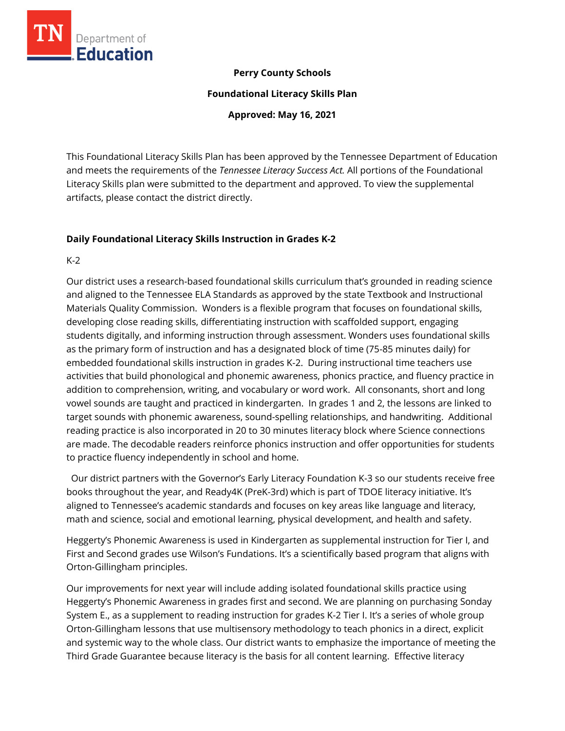

## **Perry County Schools**

**Foundational Literacy Skills Plan**

**Approved: May 16, 2021**

This Foundational Literacy Skills Plan has been approved by the Tennessee Department of Education and meets the requirements of the *Tennessee Literacy Success Act.* All portions of the Foundational Literacy Skills plan were submitted to the department and approved. To view the supplemental artifacts, please contact the district directly.

## **Daily Foundational Literacy Skills Instruction in Grades K-2**

K-2

Our district uses a research-based foundational skills curriculum that's grounded in reading science and aligned to the Tennessee ELA Standards as approved by the state Textbook and Instructional Materials Quality Commission. Wonders is a flexible program that focuses on foundational skills, developing close reading skills, differentiating instruction with scaffolded support, engaging students digitally, and informing instruction through assessment. Wonders uses foundational skills as the primary form of instruction and has a designated block of time (75-85 minutes daily) for embedded foundational skills instruction in grades K-2. During instructional time teachers use activities that build phonological and phonemic awareness, phonics practice, and fluency practice in addition to comprehension, writing, and vocabulary or word work. All consonants, short and long vowel sounds are taught and practiced in kindergarten. In grades 1 and 2, the lessons are linked to target sounds with phonemic awareness, sound-spelling relationships, and handwriting. Additional reading practice is also incorporated in 20 to 30 minutes literacy block where Science connections are made. The decodable readers reinforce phonics instruction and offer opportunities for students to practice fluency independently in school and home.

 Our district partners with the Governor's Early Literacy Foundation K-3 so our students receive free books throughout the year, and Ready4K (PreK-3rd) which is part of TDOE literacy initiative. It's aligned to Tennessee's academic standards and focuses on key areas like language and literacy, math and science, social and emotional learning, physical development, and health and safety.

Heggerty's Phonemic Awareness is used in Kindergarten as supplemental instruction for Tier I, and First and Second grades use Wilson's Fundations. It's a scientifically based program that aligns with Orton-Gillingham principles.

Our improvements for next year will include adding isolated foundational skills practice using Heggerty's Phonemic Awareness in grades first and second. We are planning on purchasing Sonday System E., as a supplement to reading instruction for grades K-2 Tier I. It's a series of whole group Orton-Gillingham lessons that use multisensory methodology to teach phonics in a direct, explicit and systemic way to the whole class. Our district wants to emphasize the importance of meeting the Third Grade Guarantee because literacy is the basis for all content learning. Effective literacy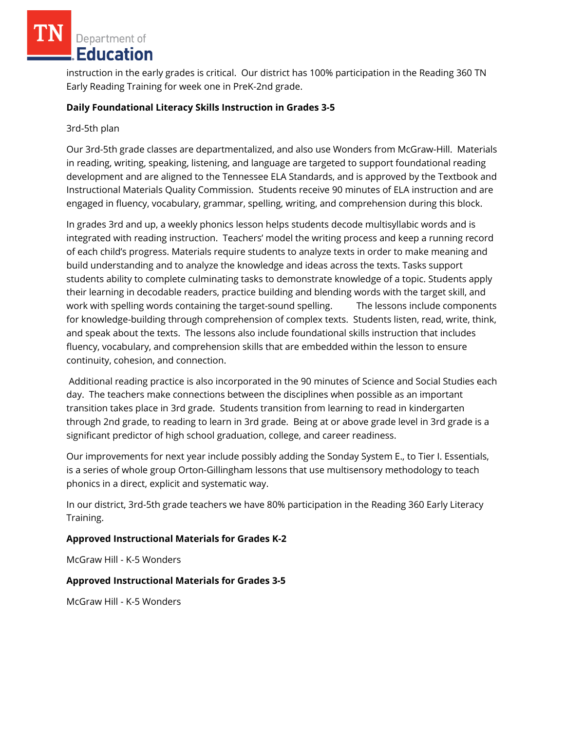Department of Education

instruction in the early grades is critical. Our district has 100% participation in the Reading 360 TN Early Reading Training for week one in PreK-2nd grade.

## **Daily Foundational Literacy Skills Instruction in Grades 3-5**

#### 3rd-5th plan

Our 3rd-5th grade classes are departmentalized, and also use Wonders from McGraw-Hill. Materials in reading, writing, speaking, listening, and language are targeted to support foundational reading development and are aligned to the Tennessee ELA Standards, and is approved by the Textbook and Instructional Materials Quality Commission. Students receive 90 minutes of ELA instruction and are engaged in fluency, vocabulary, grammar, spelling, writing, and comprehension during this block.

In grades 3rd and up, a weekly phonics lesson helps students decode multisyllabic words and is integrated with reading instruction. Teachers' model the writing process and keep a running record of each child's progress. Materials require students to analyze texts in order to make meaning and build understanding and to analyze the knowledge and ideas across the texts. Tasks support students ability to complete culminating tasks to demonstrate knowledge of a topic. Students apply their learning in decodable readers, practice building and blending words with the target skill, and work with spelling words containing the target-sound spelling. The lessons include components for knowledge-building through comprehension of complex texts. Students listen, read, write, think, and speak about the texts. The lessons also include foundational skills instruction that includes fluency, vocabulary, and comprehension skills that are embedded within the lesson to ensure continuity, cohesion, and connection.

Additional reading practice is also incorporated in the 90 minutes of Science and Social Studies each day. The teachers make connections between the disciplines when possible as an important transition takes place in 3rd grade. Students transition from learning to read in kindergarten through 2nd grade, to reading to learn in 3rd grade. Being at or above grade level in 3rd grade is a significant predictor of high school graduation, college, and career readiness.

Our improvements for next year include possibly adding the Sonday System E., to Tier I. Essentials, is a series of whole group Orton-Gillingham lessons that use multisensory methodology to teach phonics in a direct, explicit and systematic way.

In our district, 3rd-5th grade teachers we have 80% participation in the Reading 360 Early Literacy Training.

## **Approved Instructional Materials for Grades K-2**

McGraw Hill - K-5 Wonders

## **Approved Instructional Materials for Grades 3-5**

McGraw Hill - K-5 Wonders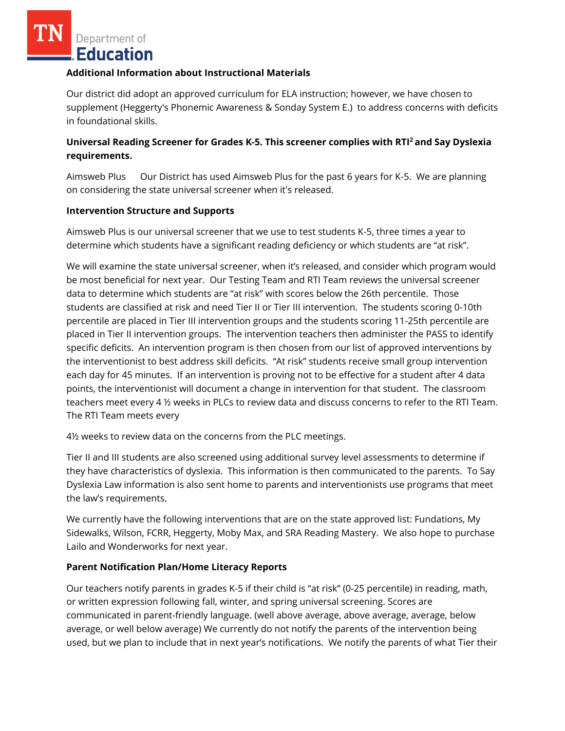Department of **Education** 

#### **Additional Information about Instructional Materials**

Our district did adopt an approved curriculum for ELA instruction; however, we have chosen to supplement (Heggerty's Phonemic Awareness & Sonday System E.) to address concerns with deficits in foundational skills.

# **Universal Reading Screener for Grades K-5. This screener complies with RTI<sup>2</sup>and Say Dyslexia requirements.**

Aimsweb Plus Our District has used Aimsweb Plus for the past 6 years for K-5. We are planning on considering the state universal screener when it's released.

## **Intervention Structure and Supports**

Aimsweb Plus is our universal screener that we use to test students K-5, three times a year to determine which students have a significant reading deficiency or which students are "at risk".

We will examine the state universal screener, when it's released, and consider which program would be most beneficial for next year. Our Testing Team and RTI Team reviews the universal screener data to determine which students are "at risk" with scores below the 26th percentile. Those students are classified at risk and need Tier II or Tier III intervention. The students scoring 0-10th percentile are placed in Tier III intervention groups and the students scoring 11-25th percentile are placed in Tier II intervention groups. The intervention teachers then administer the PASS to identify specific deficits. An intervention program is then chosen from our list of approved interventions by the interventionist to best address skill deficits. "At risk" students receive small group intervention each day for 45 minutes. If an intervention is proving not to be effective for a student after 4 data points, the interventionist will document a change in intervention for that student. The classroom teachers meet every 4 ½ weeks in PLCs to review data and discuss concerns to refer to the RTI Team. The RTI Team meets every

4½ weeks to review data on the concerns from the PLC meetings.

Tier II and III students are also screened using additional survey level assessments to determine if they have characteristics of dyslexia. This information is then communicated to the parents. To Say Dyslexia Law information is also sent home to parents and interventionists use programs that meet the law's requirements.

We currently have the following interventions that are on the state approved list: Fundations, My Sidewalks, Wilson, FCRR, Heggerty, Moby Max, and SRA Reading Mastery. We also hope to purchase Lailo and Wonderworks for next year.

## **Parent Notification Plan/Home Literacy Reports**

Our teachers notify parents in grades K-5 if their child is "at risk" (0-25 percentile) in reading, math, or written expression following fall, winter, and spring universal screening. Scores are communicated in parent-friendly language. (well above average, above average, average, below average, or well below average) We currently do not notify the parents of the intervention being used, but we plan to include that in next year's notifications. We notify the parents of what Tier their